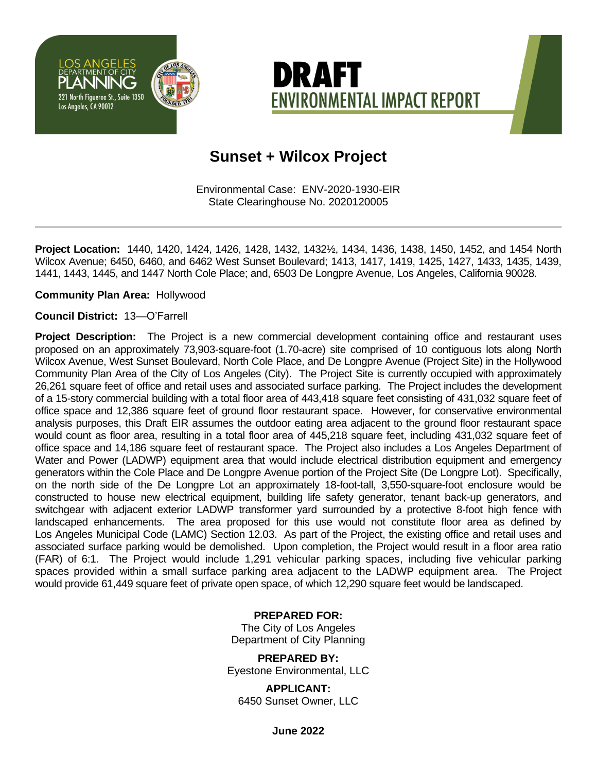



# **Sunset + Wilcox Project**

Environmental Case: ENV-2020-1930-EIR State Clearinghouse No. 2020120005

**Project Location:** 1440, 1420, 1424, 1426, 1428, 1432, 1432½, 1434, 1436, 1438, 1450, 1452, and 1454 North Wilcox Avenue; 6450, 6460, and 6462 West Sunset Boulevard; 1413, 1417, 1419, 1425, 1427, 1433, 1435, 1439, 1441, 1443, 1445, and 1447 North Cole Place; and, 6503 De Longpre Avenue, Los Angeles, California 90028.

**Community Plan Area:** Hollywood

#### **Council District:** 13—O'Farrell

**Project Description:** The Project is a new commercial development containing office and restaurant uses proposed on an approximately 73,903-square-foot (1.70-acre) site comprised of 10 contiguous lots along North Wilcox Avenue, West Sunset Boulevard, North Cole Place, and De Longpre Avenue (Project Site) in the Hollywood Community Plan Area of the City of Los Angeles (City). The Project Site is currently occupied with approximately 26,261 square feet of office and retail uses and associated surface parking. The Project includes the development of a 15-story commercial building with a total floor area of 443,418 square feet consisting of 431,032 square feet of office space and 12,386 square feet of ground floor restaurant space. However, for conservative environmental analysis purposes, this Draft EIR assumes the outdoor eating area adjacent to the ground floor restaurant space would count as floor area, resulting in a total floor area of 445,218 square feet, including 431,032 square feet of office space and 14,186 square feet of restaurant space. The Project also includes a Los Angeles Department of Water and Power (LADWP) equipment area that would include electrical distribution equipment and emergency generators within the Cole Place and De Longpre Avenue portion of the Project Site (De Longpre Lot). Specifically, on the north side of the De Longpre Lot an approximately 18-foot-tall, 3,550-square-foot enclosure would be constructed to house new electrical equipment, building life safety generator, tenant back-up generators, and switchgear with adjacent exterior LADWP transformer yard surrounded by a protective 8-foot high fence with landscaped enhancements. The area proposed for this use would not constitute floor area as defined by Los Angeles Municipal Code (LAMC) Section 12.03. As part of the Project, the existing office and retail uses and associated surface parking would be demolished. Upon completion, the Project would result in a floor area ratio (FAR) of 6:1. The Project would include 1,291 vehicular parking spaces, including five vehicular parking spaces provided within a small surface parking area adjacent to the LADWP equipment area. The Project would provide 61,449 square feet of private open space, of which 12,290 square feet would be landscaped.

#### **PREPARED FOR:**

The City of Los Angeles Department of City Planning

**PREPARED BY:** Eyestone Environmental, LLC

**APPLICANT:** 6450 Sunset Owner, LLC

**June 2022**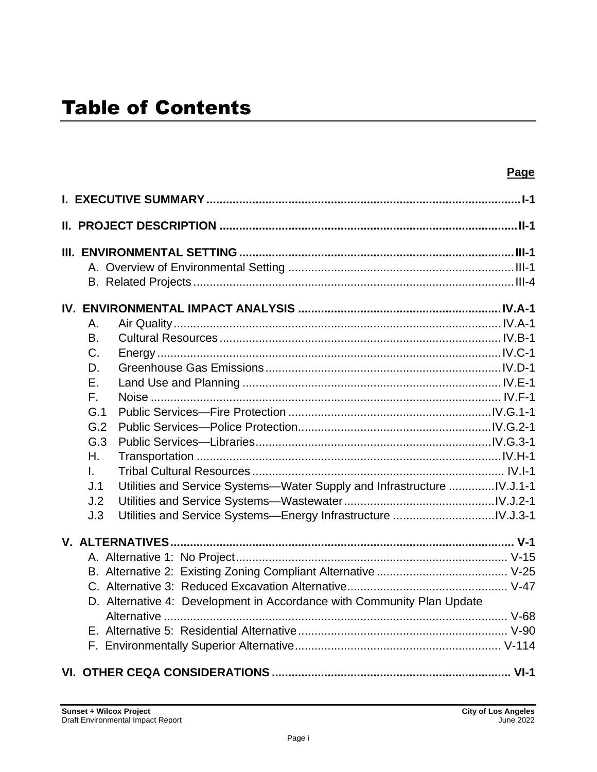|              |                                                                         | Page |  |  |
|--------------|-------------------------------------------------------------------------|------|--|--|
|              |                                                                         |      |  |  |
|              | <u>II. PROJECT DESCRIPTION …………………………………………………………………………………II-1</u>      |      |  |  |
|              |                                                                         |      |  |  |
|              |                                                                         |      |  |  |
|              |                                                                         |      |  |  |
|              |                                                                         |      |  |  |
| Α.           |                                                                         |      |  |  |
| B.           |                                                                         |      |  |  |
| $C_{\cdot}$  |                                                                         |      |  |  |
| D.           |                                                                         |      |  |  |
| Ε.           |                                                                         |      |  |  |
| $F_{\rm{H}}$ |                                                                         |      |  |  |
| G.1          |                                                                         |      |  |  |
| G.2          |                                                                         |      |  |  |
| G.3          |                                                                         |      |  |  |
| Η.           |                                                                         |      |  |  |
| L.           |                                                                         |      |  |  |
| J.1          | Utilities and Service Systems--Water Supply and Infrastructure IV.J.1-1 |      |  |  |
| J.2          |                                                                         |      |  |  |
| J.3          |                                                                         |      |  |  |
|              |                                                                         |      |  |  |
|              |                                                                         |      |  |  |
|              |                                                                         |      |  |  |
|              |                                                                         |      |  |  |
|              | D. Alternative 4: Development in Accordance with Community Plan Update  |      |  |  |
|              |                                                                         |      |  |  |
|              |                                                                         |      |  |  |
|              |                                                                         |      |  |  |
|              |                                                                         |      |  |  |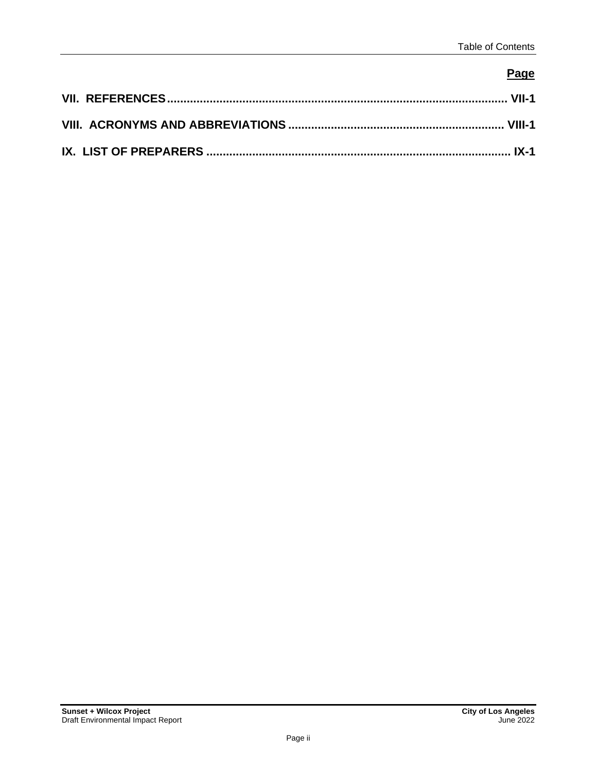## **Page**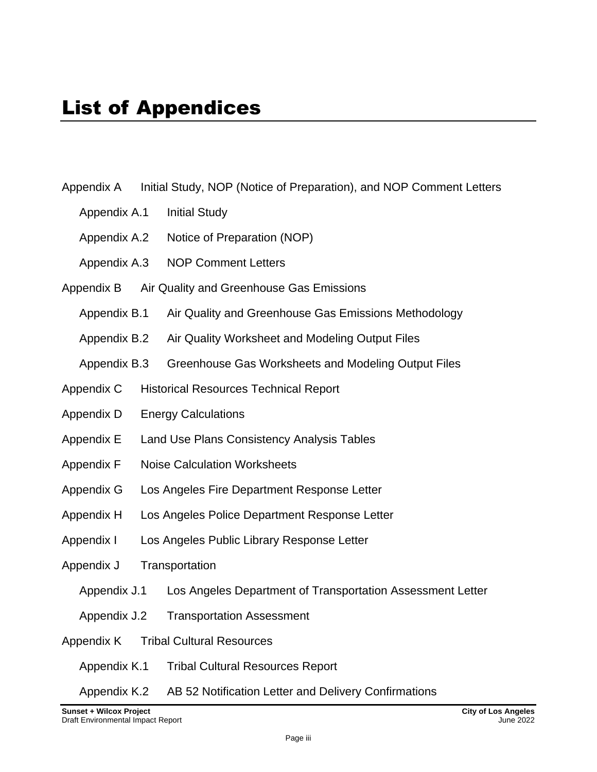| Appendix A                   |  | Initial Study, NOP (Notice of Preparation), and NOP Comment Letters |  |  |
|------------------------------|--|---------------------------------------------------------------------|--|--|
| Appendix A.1                 |  | <b>Initial Study</b>                                                |  |  |
| Appendix A.2                 |  | Notice of Preparation (NOP)                                         |  |  |
| Appendix A.3                 |  | <b>NOP Comment Letters</b>                                          |  |  |
| Appendix B                   |  | Air Quality and Greenhouse Gas Emissions                            |  |  |
| Appendix B.1                 |  | Air Quality and Greenhouse Gas Emissions Methodology                |  |  |
| Appendix B.2                 |  | Air Quality Worksheet and Modeling Output Files                     |  |  |
| Appendix B.3                 |  | Greenhouse Gas Worksheets and Modeling Output Files                 |  |  |
| Appendix C                   |  | <b>Historical Resources Technical Report</b>                        |  |  |
| Appendix D                   |  | <b>Energy Calculations</b>                                          |  |  |
| Appendix E                   |  | Land Use Plans Consistency Analysis Tables                          |  |  |
| <b>Appendix F</b>            |  | <b>Noise Calculation Worksheets</b>                                 |  |  |
| Appendix G                   |  | Los Angeles Fire Department Response Letter                         |  |  |
| Appendix H                   |  | Los Angeles Police Department Response Letter                       |  |  |
| Appendix I                   |  | Los Angeles Public Library Response Letter                          |  |  |
| Transportation<br>Appendix J |  |                                                                     |  |  |
| Appendix J.1                 |  | Los Angeles Department of Transportation Assessment Letter          |  |  |
| Appendix J.2                 |  | <b>Transportation Assessment</b>                                    |  |  |
| Appendix K                   |  | <b>Tribal Cultural Resources</b>                                    |  |  |
| Appendix K.1                 |  | <b>Tribal Cultural Resources Report</b>                             |  |  |
| Appendix K.2                 |  | AB 52 Notification Letter and Delivery Confirmations                |  |  |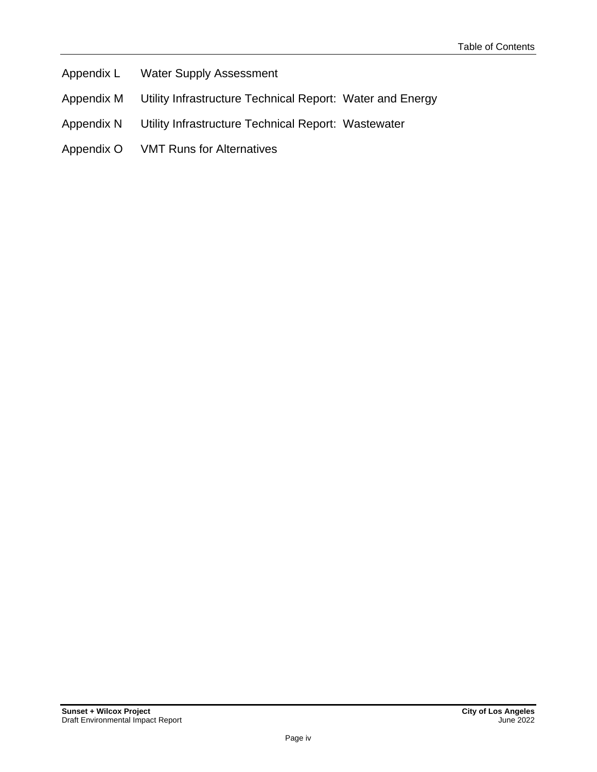- Appendix L Water Supply Assessment
- Appendix M Utility Infrastructure Technical Report: Water and Energy
- Appendix N Utility Infrastructure Technical Report: Wastewater
- Appendix O VMT Runs for Alternatives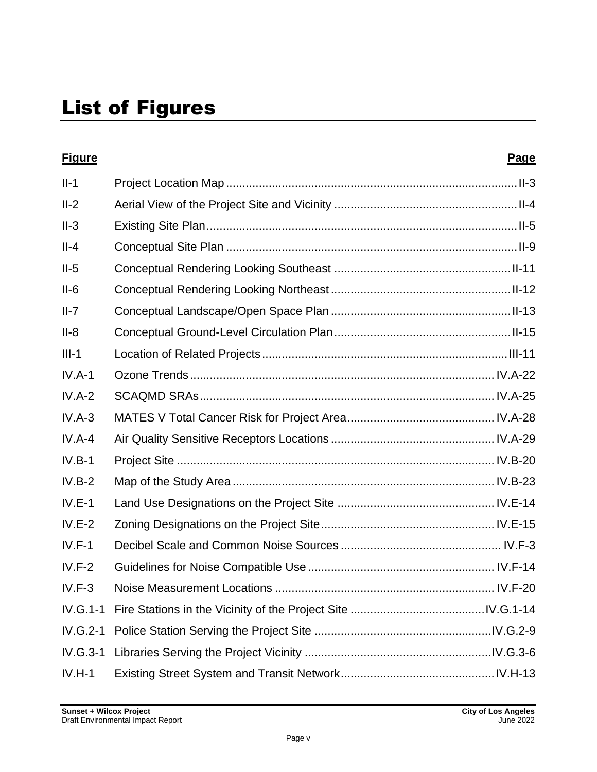| <b>Figure</b> | <b>Page</b> |
|---------------|-------------|
| $II-1$        |             |
| $II-2$        |             |
| $II-3$        |             |
| $II-4$        |             |
| $II-5$        |             |
| $II-6$        |             |
| $II-7$        |             |
| $II-8$        |             |
| $III-1$       |             |
| $IV.A-1$      |             |
| $IV.A-2$      |             |
| $IV.A-3$      |             |
| $IV.A-4$      |             |
| $IV.B-1$      |             |
| $IV.B-2$      |             |
| $IV.E-1$      |             |
| $IV.E-2$      |             |
| $IV.F-1$      |             |
| $IV.F-2$      |             |
| $IV.F-3$      |             |
| IV.G.1-1      |             |
| IV.G.2-1      |             |
| IV.G.3-1      |             |
| $IV.H-1$      |             |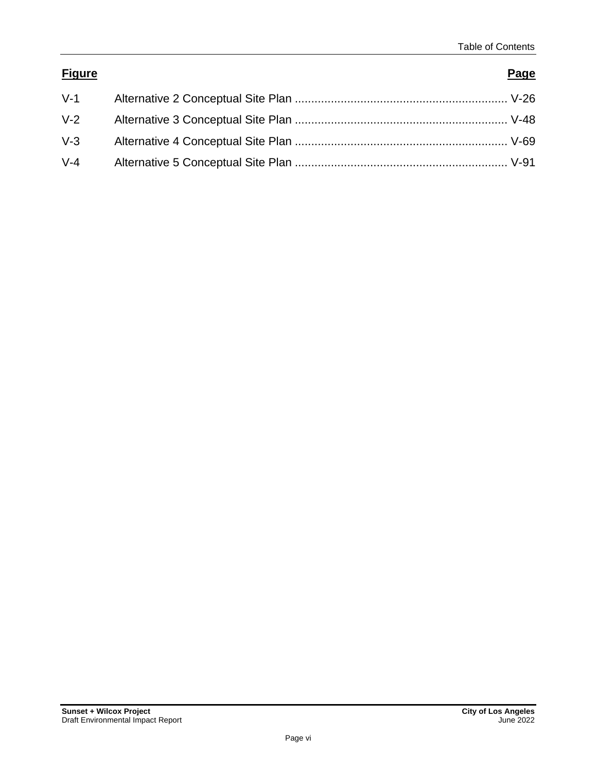### **Figure Page**

| $V-1$ |  |
|-------|--|
| $V-2$ |  |
| $V-3$ |  |
| $V-4$ |  |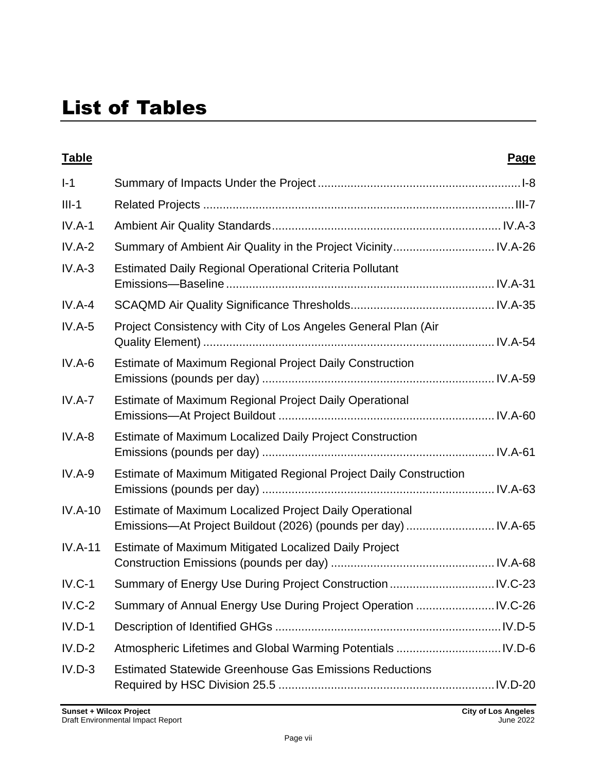# List of Tables

| <b>Table</b> |                                                                                                                           | <u>Page</u> |
|--------------|---------------------------------------------------------------------------------------------------------------------------|-------------|
| $I-1$        |                                                                                                                           |             |
| $III-1$      |                                                                                                                           |             |
| $IV.A-1$     |                                                                                                                           |             |
| $IV.A-2$     | Summary of Ambient Air Quality in the Project Vicinity IV.A-26                                                            |             |
| $IV.A-3$     | <b>Estimated Daily Regional Operational Criteria Pollutant</b>                                                            |             |
| $IV.A-4$     |                                                                                                                           |             |
| $IV.A-5$     | Project Consistency with City of Los Angeles General Plan (Air                                                            |             |
| $IV.A-6$     | Estimate of Maximum Regional Project Daily Construction                                                                   |             |
| $IV.A-7$     | Estimate of Maximum Regional Project Daily Operational                                                                    |             |
| $IV.A-8$     | Estimate of Maximum Localized Daily Project Construction                                                                  |             |
| $IV.A-9$     | Estimate of Maximum Mitigated Regional Project Daily Construction                                                         |             |
| $IV.A-10$    | Estimate of Maximum Localized Project Daily Operational<br>Emissions-At Project Buildout (2026) (pounds per day)  IV.A-65 |             |
| $IV.A-11$    | Estimate of Maximum Mitigated Localized Daily Project                                                                     |             |
| $IV.C-1$     |                                                                                                                           |             |
| $IV.C-2$     |                                                                                                                           |             |
| $IV.D-1$     |                                                                                                                           |             |
| $IV.D-2$     |                                                                                                                           |             |
| $IV.D-3$     | <b>Estimated Statewide Greenhouse Gas Emissions Reductions</b>                                                            |             |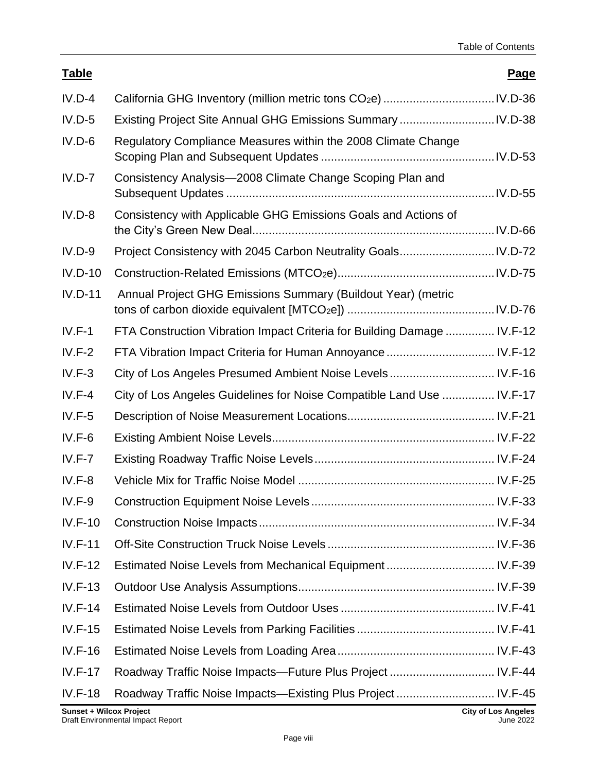| <b>Table</b>   |                                                                         | <u>Page</u> |
|----------------|-------------------------------------------------------------------------|-------------|
| $IV.D-4$       |                                                                         |             |
| $IV.D-5$       |                                                                         |             |
| $IV.D-6$       | Regulatory Compliance Measures within the 2008 Climate Change           |             |
| $IV.D-7$       | Consistency Analysis-2008 Climate Change Scoping Plan and               |             |
| $IV.D-8$       | Consistency with Applicable GHG Emissions Goals and Actions of          |             |
| $IV.D-9$       |                                                                         |             |
| $IV.D-10$      |                                                                         |             |
| $IV.D-11$      | Annual Project GHG Emissions Summary (Buildout Year) (metric            |             |
| $IV.F-1$       | FTA Construction Vibration Impact Criteria for Building Damage  IV.F-12 |             |
| $IV.F-2$       | FTA Vibration Impact Criteria for Human Annoyance  IV.F-12              |             |
| $IV.F-3$       | City of Los Angeles Presumed Ambient Noise Levels IV.F-16               |             |
| $IV.F-4$       | City of Los Angeles Guidelines for Noise Compatible Land Use  IV.F-17   |             |
| $IV.F-5$       |                                                                         |             |
| $IV.F-6$       |                                                                         |             |
| $IV.F-7$       |                                                                         |             |
| $IV.F-8$       |                                                                         |             |
| $IV.F-9$       |                                                                         |             |
| $IV.F-10$      |                                                                         |             |
| $IV.F-11$      |                                                                         |             |
| $IV.F-12$      |                                                                         |             |
| $IV.F-13$      |                                                                         |             |
| $IV.F-14$      |                                                                         |             |
| $IV.F-15$      |                                                                         |             |
| $IV.F-16$      |                                                                         |             |
| $IV.F-17$      |                                                                         |             |
| <b>IV.F-18</b> | Roadway Traffic Noise Impacts—Existing Plus Project IV.F-45             |             |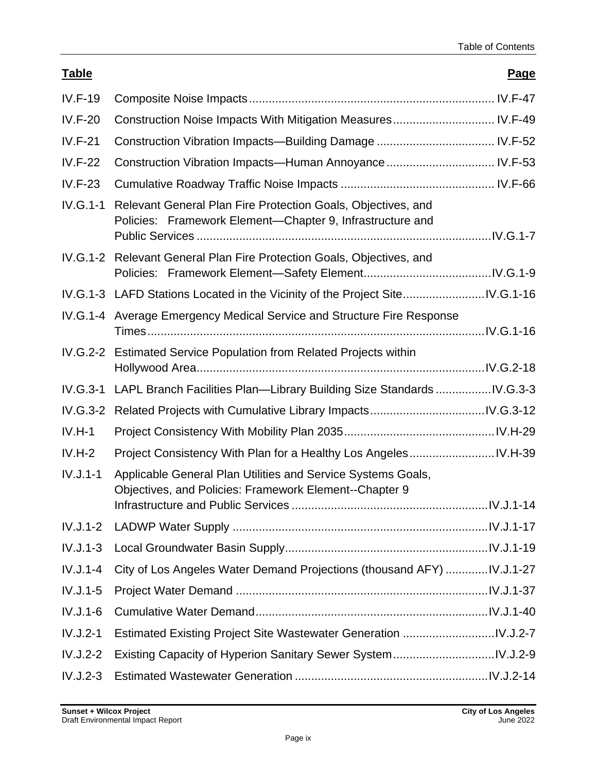### **Table Page**

| <b>IV.F-19</b> |                                                                                                                           |  |
|----------------|---------------------------------------------------------------------------------------------------------------------------|--|
| <b>IV.F-20</b> | Construction Noise Impacts With Mitigation Measures IV.F-49                                                               |  |
| $IV.F-21$      |                                                                                                                           |  |
| <b>IV.F-22</b> | Construction Vibration Impacts-Human Annoyance  IV.F-53                                                                   |  |
| $IV.F-23$      |                                                                                                                           |  |
| $IV.G.1-1$     | Relevant General Plan Fire Protection Goals, Objectives, and<br>Policies: Framework Element-Chapter 9, Infrastructure and |  |
|                | IV.G.1-2 Relevant General Plan Fire Protection Goals, Objectives, and                                                     |  |
|                | IV.G.1-3 LAFD Stations Located in the Vicinity of the Project SiteIV.G.1-16                                               |  |
|                | IV.G.1-4 Average Emergency Medical Service and Structure Fire Response                                                    |  |
|                | IV.G.2-2 Estimated Service Population from Related Projects within                                                        |  |
| IV.G.3-1       | LAPL Branch Facilities Plan-Library Building Size Standards IV.G.3-3                                                      |  |
| IV.G.3-2       |                                                                                                                           |  |
| $IV.H-1$       |                                                                                                                           |  |
| $IV.H-2$       |                                                                                                                           |  |
| $IV.J.1-1$     | Applicable General Plan Utilities and Service Systems Goals,<br>Objectives, and Policies: Framework Element--Chapter 9    |  |
| $IV.J.1-2$     |                                                                                                                           |  |
| $IV.J.1-3$     |                                                                                                                           |  |
| $IV.J.1-4$     | City of Los Angeles Water Demand Projections (thousand AFY) IV.J.1-27                                                     |  |
| $IV.J.1-5$     |                                                                                                                           |  |
| $IV.J.1-6$     |                                                                                                                           |  |
| $IV.J.2-1$     |                                                                                                                           |  |
| $IV.J.2-2$     |                                                                                                                           |  |
|                |                                                                                                                           |  |
| $IV.J.2-3$     |                                                                                                                           |  |